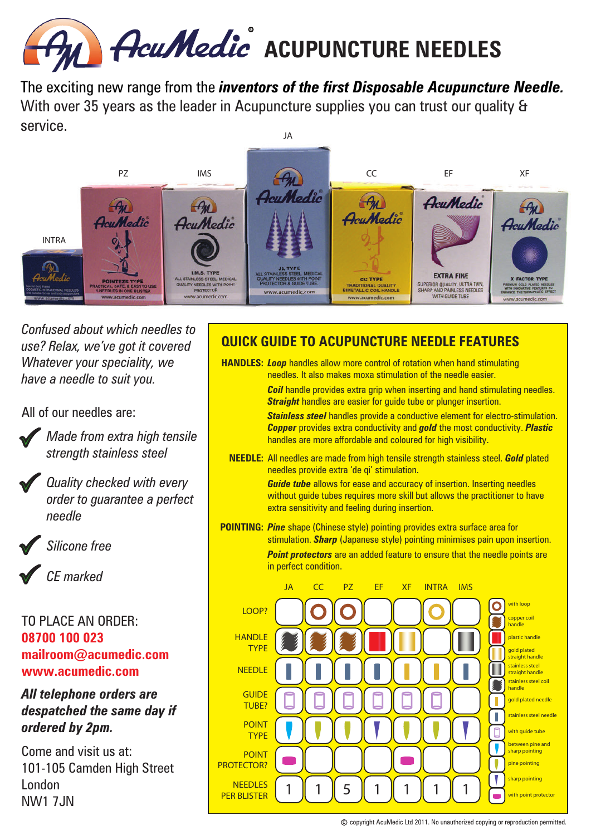

JA The exciting new range from the *inventors of the first Disposable Acupuncture Needle.*  With over 35 years as the leader in Acupuncture supplies you can trust our quality & service.



*Confused about which needles to use? Relax, we've got it covered Whatever your speciality, we have a needle to suit you.*

All of our needles are:



*Made from extra high tensile strength stainless steel*

*Quality checked with every order to guarantee a perfect needle*



*Silicone free*

*CE marked*

#### TO PLACE AN ORDER: **08700 100 023 mailroom@acumedic.com www.acumedic.com**

#### *All telephone orders are despatched the same day if ordered by 2pm.*

Come and visit us at: 101-105 Camden High Street London **NW1 7.IN** 

### **QUICK GUIDE TO ACUPUNCTURE NEEDLE FEATURES**

**HANDLES: Loop** handles allow more control of rotation when hand stimulating needles. It also makes moxa stimulation of the needle easier.

> *Coil* handle provides extra grip when inserting and hand stimulating needles. *Straight* handles are easier for guide tube or plunger insertion.

> *Stainless steel* handles provide a conductive element for electro-stimulation. *Copper* provides extra conductivity and *gold* the most conductivity. *Plastic* handles are more affordable and coloured for high visibility.

**NEEDLE:** All needles are made from high tensile strength stainless steel. *Gold* plated needles provide extra 'de qi' stimulation.

> *Guide tube* allows for ease and accuracy of insertion. Inserting needles without guide tubes requires more skill but allows the practitioner to have extra sensitivity and feeling during insertion.

**POINTING:** *Pine* shape (Chinese style) pointing provides extra surface area for stimulation. *Sharp* (Japanese style) pointing minimises pain upon insertion. **Point protectors** are an added feature to ensure that the needle points are in perfect condition.

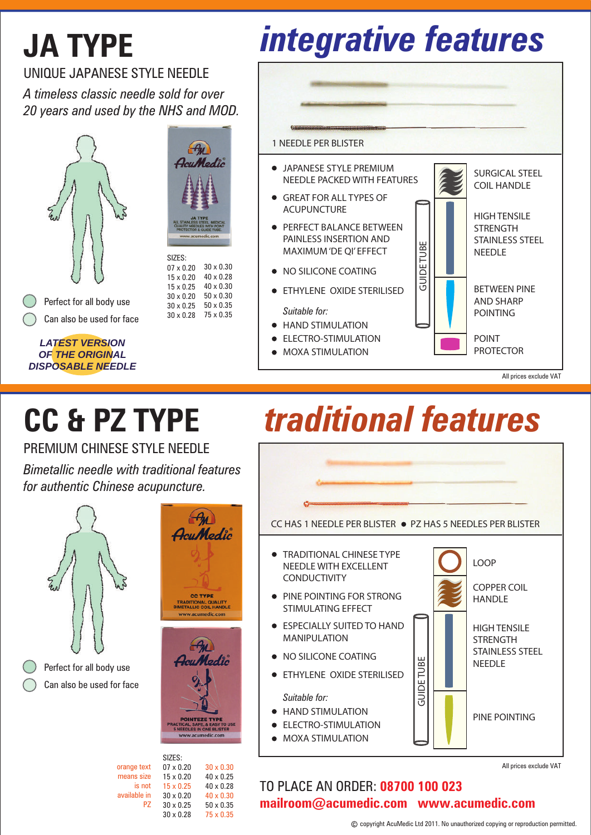## **JA TYPE**

# *integrative features*

UNIQUE JAPANESE STYLE NEEDLE

*A timeless classic needle sold for over 20 years and used by the NHS and MOD.*





07 x 0.20 15 x 0.20 15 x 0.25 30 x 0.20

Perfect for all body use Can also be used for face

*LATEST VERSION OF THE ORIGINAL DISPOSABLE NEEDLE*



**• HAND STIMULATION** 

**• ELECTRO-STIMULATION** 

MOXA STIMULATION



SURGICAL STEEL

All prices exclude VAT

## **CC & PZ TYPE**

PREMIUM CHINESE STYLE NEEDLE

*Bimetallic needle with traditional features for authentic Chinese acupuncture.*



Perfect for all body use Can also be used for face



 $\left( -a_{u}\right)$ AcuMedic

> 30 x 0.30 40 x 0.25 40 x 0.28 40 x 0.30 50 x 0.35 75 x 0.35

07 x 0.20 15 x 0.20 15 x 0.25 30 x 0.20 30 x 0.25 30 x 0.28 orange text means size is not available in PZ

## *traditional features*



TO PLACE AN ORDER: **08700 100 023 mailroom@acumedic.com www.acumedic.com**

All prices exclude VAT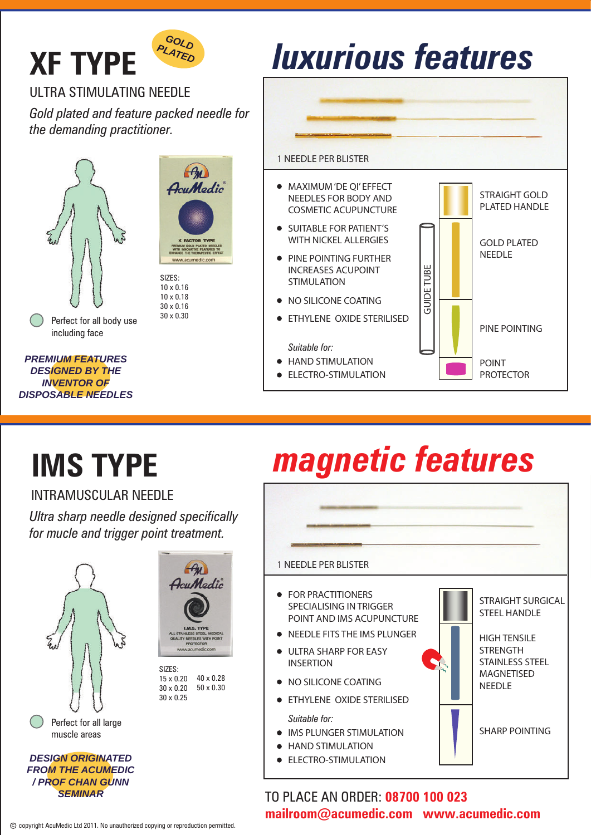

### ULTRA STIMULATING NEEDLE

*Gold plated and feature packed needle for the demanding practitioner.*





**SIZES** 10 x 0.16 10 x 0.18 30 x 0.16 30 x 0.30

*PREMIUM FEATURES DESIGNED BY THE* 

*INVENTOR OF DISPOSABLE NEEDLES*



- **HAND STIMULATION**
- ELECTRO-STIMULATION

## **IMS TYPE**

### INTRAMUSCULAR NEEDLE

*Ultra sharp needle designed specifically for mucle and trigger point treatment.*



*FROM THE ACUMEDIC / PROF CHAN GUNN SEMINAR*



40 x 0.28 50 x 0.30

### *Suitable for:*

- **IMS PLUNGER STIMULATION**
- HAND STIMULATION
- 

## *magnetic features*

#### 1 NEEDLE PER BLISTER

- **FOR PRACTITIONERS** SPECIALISING IN TRIGGER POINT AND IMS ACUPUNCTURE
- NEEDLE FITS THE IMS PLUNGER
- ULTRA SHARP FOR EASY INSERTION
- $\bullet$  NO SILICONE COATING
- **ETHYLENE OXIDE STERILISED**
- 
- 
- ELECTRO-STIMULATION



STRAIGHT SURGICAL STEEL HANDLE

PROTECTOR

HIGH TENSILE **STRENGTH** STAINLESS STEEL MAGNETISED NEEDLE

SHARP POINTING

### TO PLACE AN ORDER: **08700 100 023**